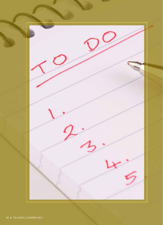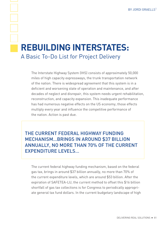## **REBUILDING INTERSTATES:**  A Basic To-Do List for Project Delivery

The Interstate Highway System (IHS) consists of approximately 50,000 miles of high capacity expressways, the trunk transportation network of the nation. There is widespread agreement that this system is in a deficient and worsening state of operation and maintenance, and after decades of neglect and disrepair, this system needs urgent rehabilitation, reconstruction, and capacity expansion. This inadequate performance has had numerous negative effects on the US economy; those effects multiply every year and influence the competitive performance of the nation. Action is past due.

## THE CURRENT FEDERAL HIGHWAY FUNDING MECHANISM…BRINGS IN AROUND \$37 BILLION ANNUALLY, NO MORE THAN 70% OF THE CURRENT EXPENDITURE LEVELS…

The current federal highway funding mechanism, based on the federal gas tax, brings in around \$37 billion annually, no more than 70% of the current expenditure levels, which are around \$53 billion. After the expiration of SAFETEA-LU, the current method to offset this \$16 billion shortfall of gas tax collections is for Congress to periodically appropriate general tax fund dollars. In the current budgetary landscape of high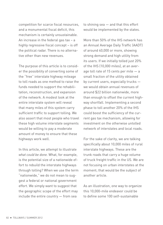competition for scarce fiscal resources, and a monumental fiscal deficit, this mechanism is certainly unsustainable. An increase in the federal gas tax – a highly regressive fiscal concept – is off the political radar. There is no alternative other than new revenues.

The purpose of this article is to consider the possibility of converting some of the "free" interstate highway mileage to toll roads as one method to raise the funds needed to support the rehabilitation, reconstruction, and expansion of the network. A modest look at the entire interstate system will reveal that many miles of this system carry sufficient traffic to support tolling. We also assert that most people who travel these high volume interstate segments would be willing to pay a moderate amount of money to ensure that these highways work well.

In this article, we attempt to illustrate *what could be done.* What, for example, is the potential size of a nationwide effort to rebuild the interstate highways through tolling? When we use the term "nationwide," we do not mean to suggest a federal or national government effort. We simply want to suggest that the geographic scope of the effort may include the entire country — from sea

to shining sea — and that this effort would be implemented by the states.

More than 50% of the IHS network has an Annual Average Daily Traffic (AADT) of around 40,000 or more, showing strong demand and high utility from its users. If we initially tolled just 20% of the IHS (10,000 miles), at an average toll rate of 15 cents per mile — a small fraction of the utility obtained by current users, especially trucks we would obtain annual revenues of around \$22 billion nationwide, more than enough to offset the current highway shortfall. Implementing a second phase to toll another 20% of the IHS could boost the sufficiency of the current gas tax mechanism, allowing for investment on the otherwise untolled network of interstates and local roads.

For the sake of clarity, we are talking specifically about 10,000 miles of rural interstate highways. These are the trunk roads that carry a huge volume of truck freight traffic in the US. We are not focusing on urban interstates at the moment; that would be the subject of another article.

As an illustration, one way to organize this 10,000-mile endeavor could be to define some 100 self-sustainable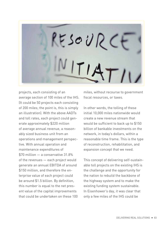

projects, each consisting of an average section of 100 miles of the IHS. (It could be 50 projects each consisting of 200 miles; the point is, this is simply an illustration). With the above AADTs and toll rates, each project could generate approximately \$220 million of average annual revenue, a reasonably sized business unit from an operations and management perspective. With annual operation and maintenance expenditures of \$70 million — a conservative 31.8% of the revenues — each project would generate an annual EBITDA of around \$150 million, and therefore the enterprise value of each project could be around \$1.5 billion. By definition, this number is equal to the net present value of the capital improvements that could be undertaken on these 100

miles, without recourse to government fiscal resources, or taxes.

In other words, the tolling of these initial 10,000 miles nationwide would create a new revenue stream that would be sufficient to back up to \$150 billion of bankable investments on the network, in today's dollars, within a reasonable time frame. This is the type of reconstruction, rehabilitation, and expansion concept that we need.

This concept of delivering self-sustainable toll projects on the existing IHS is the challenge and the opportunity for the nation to rebuild the backbone of the highway system and to make the existing funding system sustainable. In Eisenhower's day, it was clear that only a few miles of the IHS could be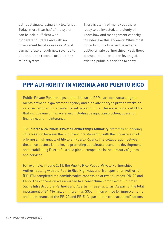self-sustainable using only toll funds. Today, more than half of the system can be self-sufficient with moderate toll rates and with no government fiscal resources. And it can generate enough new revenue to undertake the reconstruction of the tolled system.

There is plenty of money out there ready to be invested, and plenty of know-how and management capacity to undertake this endeavor. While most projects of this type will have to be public-private partnerships (P3s), there is ample room for under-leveraged, existing public authorities to carry

## **PPP AUTHORITY IN VIRGINIA AND PUERTO RICO**

Public-Private Partnerships, better known as PPPs, are contractual agreements between a government agency and a private entity to provide works or services required for an established period of time. There are models of PPPs that include one or more stages, including design, construction, operation, financing, and maintenance.

The **Puerto Rico Public-Private Partnerships Authority** promotes an ongoing collaboration between the public and private sector with the ultimate aim of offering a high quality of life to all Puerto Ricans. The collaboration between these two sectors is the key to promoting sustainable economic development and establishing Puerto Rico as a global competitor in the industry of goods and services.

For example, in June 2011, the Puerto Rico Public-Private Partnerships Authority along with the Puerto Rico Highways and Transportation Authority (PRHTA) completed the administrative concession of two toll roads, PR-22 and PR-5. The concession was awarded to a consortium composed of Goldman Sachs Infrastructure Partners and Abertis Infraestructuras. As part of the total investment of \$1,436 million, more than \$350 million will be for improvements and maintenance of the PR-22 and PR-5. As part of the contract specifications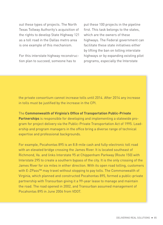out these types of projects. The North Texas Tollway Authority's acquisition of the rights to develop State Highway 121 as a toll road in the Dallas metro area is one example of this mechanism.

For this interstate highway reconstruction plan to succeed, someone has to

put these 100 projects in the pipeline first. This task belongs to the states, which are the owners of these highways. The Federal government can facilitate these state initiatives either by lifting the ban on tolling interstate highways or by expanding existing pilot programs, especially the Interstate

the private consortium cannot increase tolls until 2014. After 2014 any increase in tolls must be justified by the increase in the CPI.

The **Commonwealth of Virginia's Office of Transportation Public-Private Partnerships** is responsible for developing and implementing a statewide program for project delivery via the Public-Private Transportation Act of 1995. Leadership and program managers in the office bring a diverse range of technical expertise and professional backgrounds.

For example, Pocahontas 895 is an 8.8-mile cash and fully-electronic toll road with an elevated bridge crossing the James River. It is located southeast of Richmond, Va. and links Interstate 95 at Chippenham Parkway (Route 150) with Interstate 295 to create a southern bypass of the city. It is the only crossing of the James River for six miles in either direction. With its open road tolling, customers with E-ZPass<sup>™</sup> may travel without stopping to pay tolls. The Commonwealth of Virginia, which planned and constructed Pocahontas 895, formed a public-private partnership with Transurban giving it a 99-year lease to manage and maintain the road. The road opened in 2002, and Transurban assumed management of Pocahontas 895 in June 2006 from VDOT.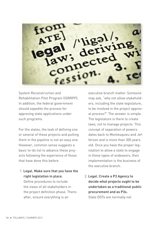

System Reconstruction and Rehabilitation Pilot Program (ISRRPP). In addition, the federal government should expedite the process for approving state applications under such programs.

For the states, the task of defining one or several of these projects and putting them in the pipeline is not an easy one. However, common sense suggests a basic to-do list to advance these projects following the experience of those that have done this before.

1. **Legal. Make sure that you have the right legislation in place.**

Define procedures to include the views of all stakeholders in the project definition phase. Thereafter, ensure everything is an

executive branch matter. Someone may ask, "why not allow stakeholders, including the state legislature, to be involved in the project approval process?" The answer is simple. The legislature is there to create laws, not to manage projects. This concept of separation of powers dates back to Montesquieu and Jefferson and is more than 300 years old. Once you have the proper legislation to allow a state to engage in these types of endeavors, then implementation is the business of the executive branch.

2. **Legal. Create a P3 Agency to decide what projects ought to be undertaken as a traditional public procurement and as P3s.** State DOTs are normally not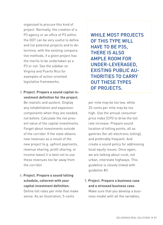organized to procure this kind of project. Normally, the creation of a P3 agency or an office of P3 within the DOT can be very useful to define and list potential projects and to determine, with the existing comparative methods, if a given project has the merits to be undertaken as a P3 or not. See the sidebar on Virginia and Puerto Rico for examples of action-oriented legislative frameworks.

3. **Project. Prepare a sound capital investment definition for the project.** 

Be realistic and austere. Display any rehabilitation and expansion components when they are needed, not before. Calculate the net present value of the capital investments. Forget about investments outside of the corridor. If the state obtains new revenues as a result of the new project (e.g. upfront payments, revenue sharing, profit sharing, or income taxes) it is best not to use these revenues too far away from the corridor.

4. **Project. Prepare a sound tolling schedule, coherent with your capital investment definition.** Define toll rates per mile that make sense. As an illustration, 5-cents

WHILE MOST PROJECTS OF THIS TYPE WILL HAVE TO BE P3S, THERE IS ALSO AMPLE ROOM FOR UNDER-LEVERAGED, EXISTING PUBLIC AU-THORITIES TO CARRY OUT THESE TYPES OF PROJECTS.

per mile may be too low, while 25-cents per mile may be too high. Use the annual consumer price index (CPI) to drive the toll rate increase. Prepare sound location of tolling points, all as gantries (for all-electronic tolling), and preferably frequent. And create a sound policy for addressing local equity issues. Once again, we are talking about rural, not urban, interstate highways. This guideline is closely linked with guideline #3.

5. **Project. Prepare a business case and a stressed business case.** Make sure that you develop a business model with all the variables,